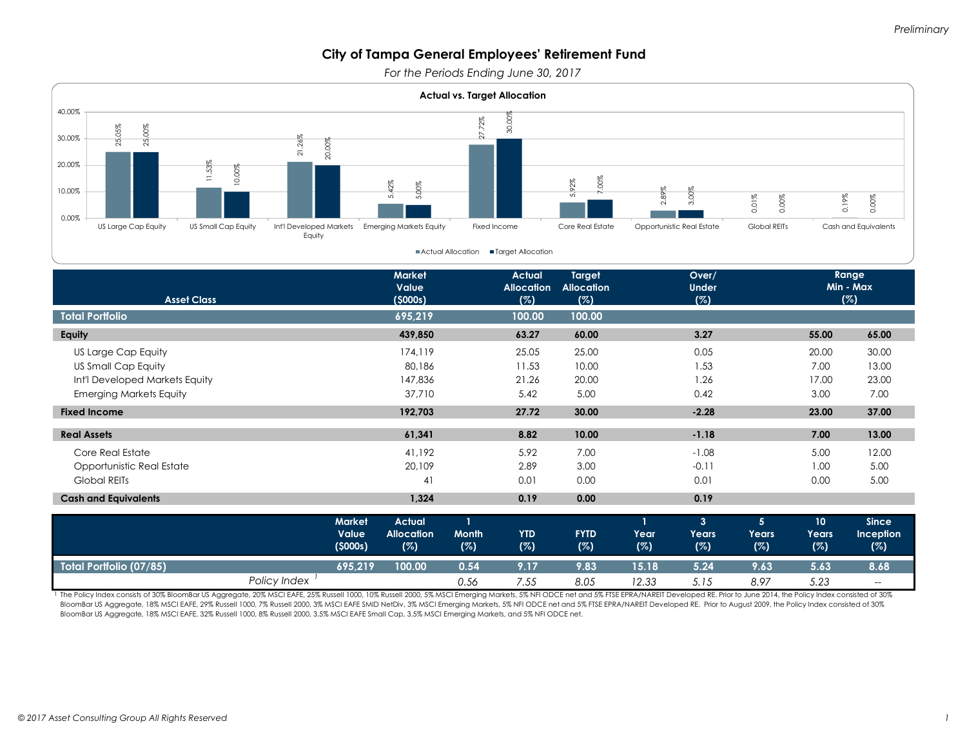*For the Periods Ending June 30, 2017*



|                         | <b>Market</b> | <b>Actual</b>     |       |                 |             |       |       |       | 10    | <b>Since</b>     |
|-------------------------|---------------|-------------------|-------|-----------------|-------------|-------|-------|-------|-------|------------------|
|                         | Value         | <b>Allocation</b> | Month | <b>YTD</b>      | <b>FYTD</b> | Year  | Years | Years | Years | <b>Inception</b> |
|                         | (5000s)       | (%)               | (%)   | (%)             | (%)         | (%)   | (%)   | (%)   | (%)   | (%)              |
| Total Portfolio (07/85) | 695.219       | 100.00            | 0.54  | 9.17            | 9.83        | 15.18 | 5.24  | 9.63  | 5.63  | 8.68             |
|                         |               |                   |       |                 |             |       |       |       |       |                  |
| Policy Index            |               |                   | 0.56  | $^{\prime}$ .55 | 8.05        | 12.33 | 5.15  | 8.97  | 5.23  | $-\!$            |

The Policy Index consists of 30% BloomBar US Aggregate, 20% MSCI EAFE, 25% Russell 1000, 10% Russell 2000, 5% MSCI Emerging Markets, 5% NFI ODCE net and 5% FTSE EPRA/NAREIT Developed RE. Prior to June 2014, the Policy Inde BloomBar US Aggregate, 18% MSCI EAFE, 29% Russell 1000, 7% Russell 2000, 3% MSCI EAFE SMID NetDiv, 3% MSCI Emerging Markets, 5% NFI ODCE net and 5% FTSE EPRA/NAREIT Developed RE. Prior to August 2009, the Policy Index cons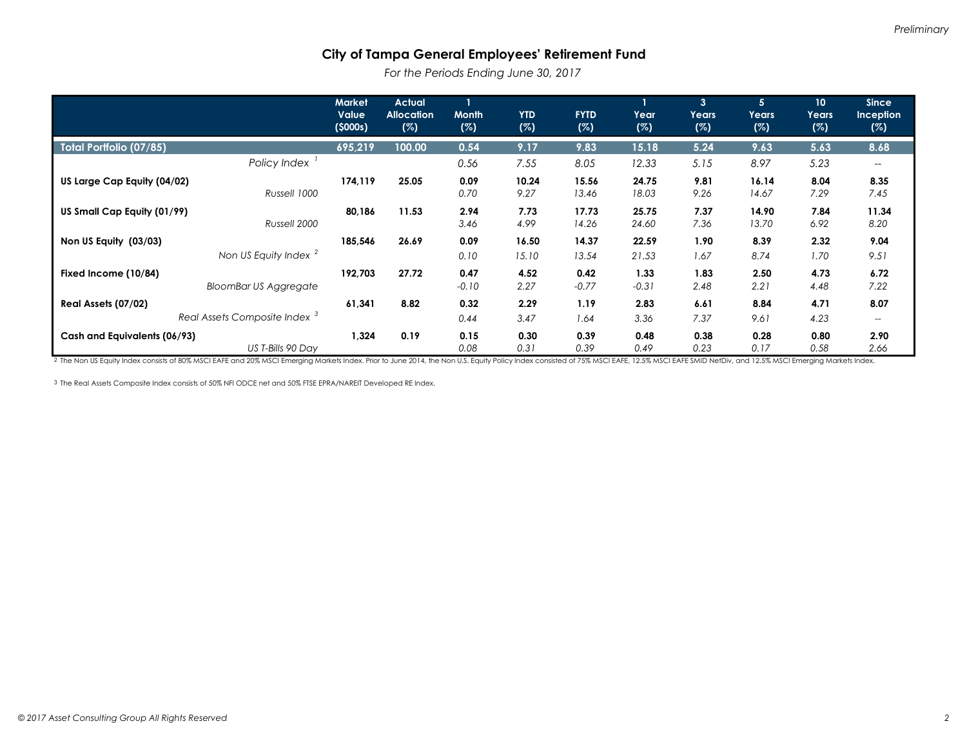*For the Periods Ending June 30, 2017*

|                                                                 | <b>Market</b><br>Value<br>(5000s) | <b>Actual</b><br><b>Allocation</b><br>(%) | <b>Month</b><br>(%) | <b>YTD</b><br>(%) | <b>FYTD</b><br>(%) | Year<br>(%)     | $\mathbf{3}$<br>Years<br>(%) | 5 <sup>5</sup><br>Years<br>(%) | 10<br>Years<br>(%) | <b>Since</b><br><b>Inception</b><br>(%)     |
|-----------------------------------------------------------------|-----------------------------------|-------------------------------------------|---------------------|-------------------|--------------------|-----------------|------------------------------|--------------------------------|--------------------|---------------------------------------------|
| Total Portfolio (07/85)                                         | 695,219                           | 100.00                                    | 0.54                | 9.17              | 9.83               | 15.18           | 5.24                         | 9.63                           | 5.63               | 8.68                                        |
| Policy Index                                                    |                                   |                                           | 0.56                | 7.55              | 8.05               | 12.33           | 5.15                         | 8.97                           | 5.23               | $\hspace{0.05cm} \ldots$                    |
| US Large Cap Equity (04/02)<br>Russell 1000                     | 174,119                           | 25.05                                     | 0.09<br>0.70        | 10.24<br>9.27     | 15.56<br>13.46     | 24.75<br>18.03  | 9.81<br>9.26                 | 16.14<br>14.67                 | 8.04<br>7.29       | 8.35<br>7.45                                |
| US Small Cap Equity (01/99)<br>Russell 2000                     | 80,186                            | 11.53                                     | 2.94<br>3.46        | 7.73<br>4.99      | 17.73<br>14.26     | 25.75<br>24.60  | 7.37<br>7.36                 | 14.90<br>13.70                 | 7.84<br>6.92       | 11.34<br>8.20                               |
| Non US Equity (03/03)<br>Non US Equity Index <sup>2</sup>       | 185,546                           | 26.69                                     | 0.09<br>0.10        | 16.50<br>15.10    | 14.37<br>13.54     | 22.59<br>21.53  | 1.90<br>1.67                 | 8.39<br>8.74                   | 2.32<br>1.70       | 9.04<br>9.51                                |
| Fixed Income (10/84)<br><b>BloomBar US Aggregate</b>            | 192,703                           | 27.72                                     | 0.47<br>$-0.10$     | 4.52<br>2.27      | 0.42<br>$-0.77$    | 1.33<br>$-0.31$ | 1.83<br>2.48                 | 2.50<br>2.21                   | 4.73<br>4.48       | 6.72<br>7.22                                |
| Real Assets (07/02)<br>Real Assets Composite Index <sup>3</sup> | 61.341                            | 8.82                                      | 0.32<br>0.44        | 2.29<br>3.47      | 1.19<br>1.64       | 2.83<br>3.36    | 6.61<br>7.37                 | 8.84<br>9.61                   | 4.71<br>4.23       | 8.07<br>$\hspace{0.05cm}$ $\hspace{0.05cm}$ |
| Cash and Equivalents (06/93)<br>US T-Bills 90 Day               | 1,324                             | 0.19                                      | 0.15<br>0.08        | 0.30<br>0.31      | 0.39<br>0.39       | 0.48<br>0.49    | 0.38<br>0.23                 | 0.28<br>0.17                   | 0.80<br>0.58       | 2.90<br>2.66                                |

2 The Non US Equity Index consists of 80% MSCI EAFE and 20% MSCI Emerging Markets Index. Prior to June 2014, the Non U.S. Equity Policy Index consisted of 75% MSCI EAFE, 12.5% MSCI EAFE SMID NetDiv, and 12.5% MSCI Emerging

3 The Real Assets Composite Index consists of 50% NFI ODCE net and 50% FTSE EPRA/NAREIT Developed RE Index.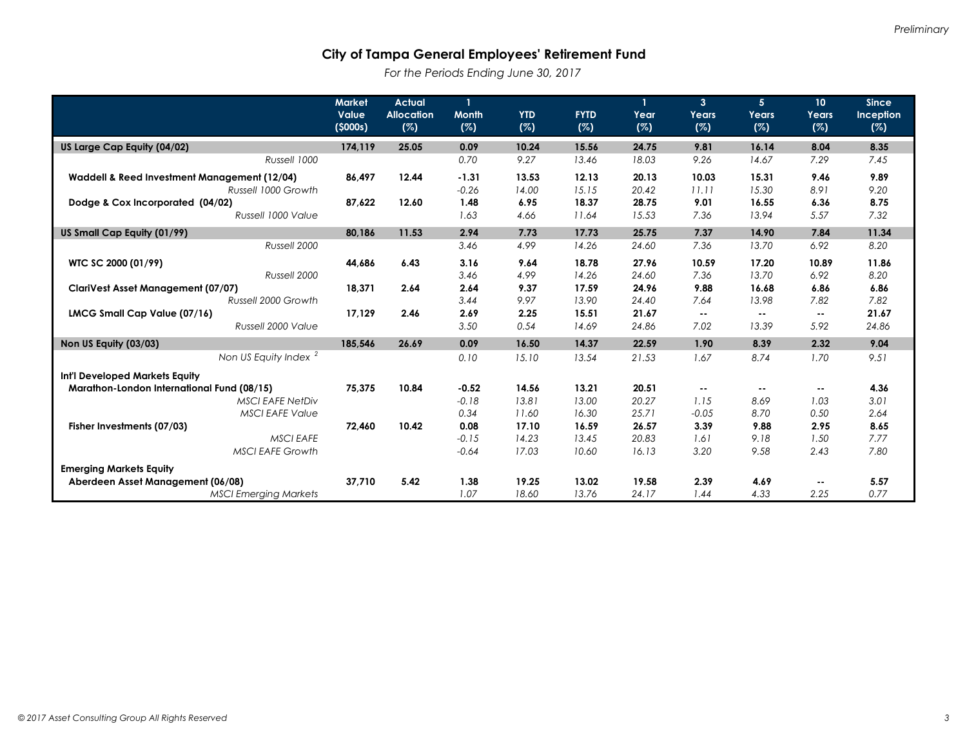*For the Periods Ending June 30, 2017*

|                                              | <b>Market</b>    | <b>Actual</b>            |                     |                   |                    |             | $\overline{3}$ | 5 <sup>5</sup> | 10 <sup>°</sup> | <b>Since</b>     |
|----------------------------------------------|------------------|--------------------------|---------------------|-------------------|--------------------|-------------|----------------|----------------|-----------------|------------------|
|                                              | Value<br>(5000s) | <b>Allocation</b><br>(%) | <b>Month</b><br>(%) | <b>YTD</b><br>(%) | <b>FYTD</b><br>(%) | Year<br>(%) | Years<br>(%)   | Years<br>(%)   | Years<br>(%)    | Inception<br>(%) |
|                                              | 174,119          | 25.05                    | 0.09                | 10.24             | 15.56              | 24.75       | 9.81           | 16.14          | 8.04            | 8.35             |
| US Large Cap Equity (04/02)<br>Russell 1000  |                  |                          | 0.70                | 9.27              | 13.46              | 18.03       | 9.26           | 14.67          | 7.29            | 7.45             |
|                                              |                  |                          |                     |                   |                    |             |                |                |                 |                  |
| Waddell & Reed Investment Management (12/04) | 86.497           | 12.44                    | $-1.31$             | 13.53             | 12.13              | 20.13       | 10.03          | 15.31          | 9.46            | 9.89             |
| Russell 1000 Growth                          |                  |                          | $-0.26$             | 14.00             | 15.15              | 20.42       | 11.11          | 15.30          | 8.91            | 9.20             |
| Dodge & Cox Incorporated (04/02)             | 87.622           | 12.60                    | 1.48                | 6.95              | 18.37              | 28.75       | 9.01           | 16.55          | 6.36            | 8.75             |
| Russell 1000 Value                           |                  |                          | 1.63                | 4.66              | 11.64              | 15.53       | 7.36           | 13.94          | 5.57            | 7.32             |
| US Small Cap Equity (01/99)                  | 80,186           | 11.53                    | 2.94                | 7.73              | 17.73              | 25.75       | 7.37           | 14.90          | 7.84            | 11.34            |
| Russell 2000                                 |                  |                          | 3.46                | 4.99              | 14.26              | 24.60       | 7.36           | 13.70          | 6.92            | 8.20             |
| WTC SC 2000 (01/99)                          | 44,686           | 6.43                     | 3.16                | 9.64              | 18.78              | 27.96       | 10.59          | 17.20          | 10.89           | 11.86            |
| Russell 2000                                 |                  |                          | 3.46                | 4.99              | 14.26              | 24.60       | 7.36           | 13.70          | 6.92            | 8.20             |
| <b>ClariVest Asset Management (07/07)</b>    | 18,371           | 2.64                     | 2.64                | 9.37              | 17.59              | 24.96       | 9.88           | 16.68          | 6.86            | 6.86             |
| Russell 2000 Growth                          |                  |                          | 3.44                | 9.97              | 13.90              | 24.40       | 7.64           | 13.98          | 7.82            | 7.82             |
| LMCG Small Cap Value (07/16)                 | 17.129           | 2.46                     | 2.69                | 2.25              | 15.51              | 21.67       | $\sim$         | ٠.             | $\sim$ $\sim$   | 21.67            |
| Russell 2000 Value                           |                  |                          | 3.50                | 0.54              | 14.69              | 24.86       | 7.02           | 13.39          | 5.92            | 24.86            |
| Non US Equity (03/03)                        | 185,546          | 26.69                    | 0.09                | 16.50             | 14.37              | 22.59       | 1.90           | 8.39           | 2.32            | 9.04             |
| Non US Equity Index <sup>2</sup>             |                  |                          | 0.10                | 15.10             | 13.54              | 21.53       | 1.67           | 8.74           | 1.70            | 9.51             |
| Int'l Developed Markets Equity               |                  |                          |                     |                   |                    |             |                |                |                 |                  |
| Marathon-London International Fund (08/15)   | 75,375           | 10.84                    | $-0.52$             | 14.56             | 13.21              | 20.51       | $\sim$         | $\sim$ $\sim$  | ٠.              | 4.36             |
| <b>MSCI EAFE NetDiv</b>                      |                  |                          | $-0.18$             | 13.81             | 13.00              | 20.27       | 1.15           | 8.69           | 1.03            | 3.01             |
| <b>MSCI EAFE Value</b>                       |                  |                          | 0.34                | 11.60             | 16.30              | 25.71       | $-0.05$        | 8.70           | 0.50            | 2.64             |
| Fisher Investments (07/03)                   | 72.460           | 10.42                    | 0.08                | 17.10             | 16.59              | 26.57       | 3.39           | 9.88           | 2.95            | 8.65             |
| <b>MSCI EAFE</b>                             |                  |                          | $-0.15$             | 14.23             | 13.45              | 20.83       | 1.61           | 9.18           | 1.50            | 7.77             |
| <b>MSCI EAFE Growth</b>                      |                  |                          | $-0.64$             | 17.03             | 10.60              | 16.13       | 3.20           | 9.58           | 2.43            | 7.80             |
| <b>Emerging Markets Equity</b>               |                  |                          |                     |                   |                    |             |                |                |                 |                  |
| Aberdeen Asset Management (06/08)            | 37.710           | 5.42                     | 1.38                | 19.25             | 13.02              | 19.58       | 2.39           | 4.69           | $\sim$          | 5.57             |
| <b>MSCI Emerging Markets</b>                 |                  |                          | 1.07                | 18.60             | 13.76              | 24.17       | 1.44           | 4.33           | 2.25            | 0.77             |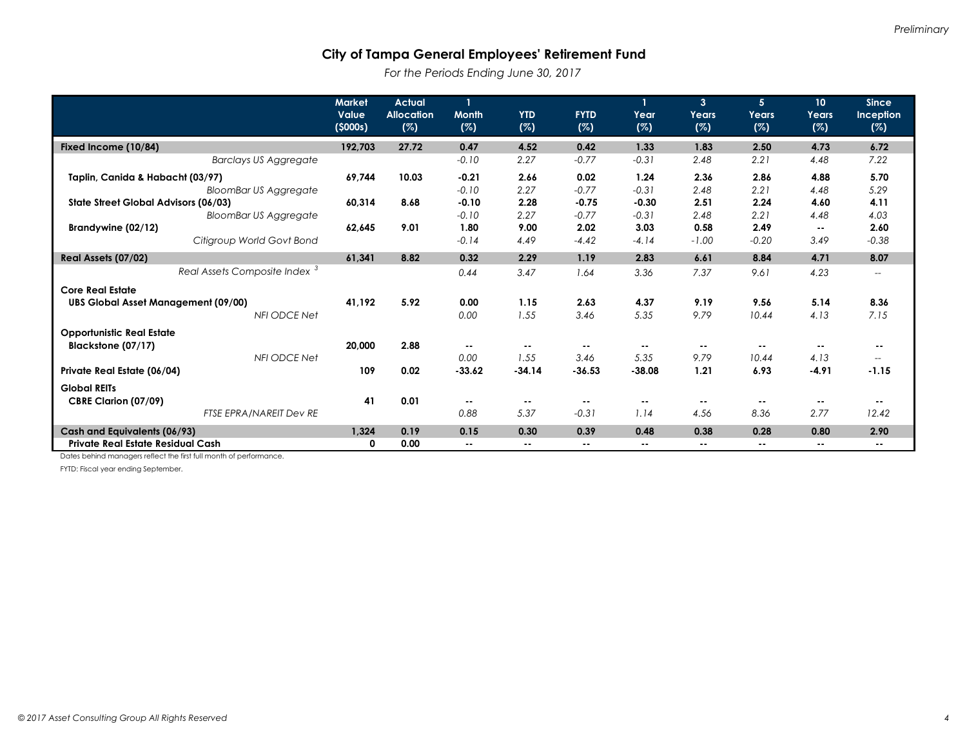*For the Periods Ending June 30, 2017*

|                                            | <b>Market</b><br>Value<br>(5000s) | <b>Actual</b><br><b>Allocation</b><br>(%) | <b>Month</b><br>(%) | <b>YTD</b><br>(%) | <b>FYTD</b><br>(%) | Year<br>(%)   | $\overline{3}$<br>Years<br>(%) | 5<br>Years<br>(%) | 10 <sup>°</sup><br>Years<br>(%) | <b>Since</b><br>Inception<br>(%)                    |
|--------------------------------------------|-----------------------------------|-------------------------------------------|---------------------|-------------------|--------------------|---------------|--------------------------------|-------------------|---------------------------------|-----------------------------------------------------|
| Fixed Income (10/84)                       | 192,703                           | 27.72                                     | 0.47                | 4.52              | 0.42               | 1.33          | 1.83                           | 2.50              | 4.73                            | 6.72                                                |
| <b>Barclays US Aggregate</b>               |                                   |                                           | $-0.10$             | 2.27              | $-0.77$            | $-0.31$       | 2.48                           | 2.21              | 4.48                            | 7.22                                                |
| Taplin, Canida & Habacht (03/97)           | 69,744                            | 10.03                                     | $-0.21$             | 2.66              | 0.02               | 1.24          | 2.36                           | 2.86              | 4.88                            | 5.70                                                |
| <b>BloomBar US Aggregate</b>               |                                   |                                           | $-0.10$             | 2.27              | $-0.77$            | $-0.31$       | 2.48                           | 2.21              | 4.48                            | 5.29                                                |
| State Street Global Advisors (06/03)       | 60,314                            | 8.68                                      | $-0.10$             | 2.28              | $-0.75$            | $-0.30$       | 2.51                           | 2.24              | 4.60                            | 4.11                                                |
| <b>BloomBar US Aggregate</b>               |                                   |                                           | $-0.10$             | 2.27              | $-0.77$            | $-0.31$       | 2.48                           | 2.21              | 4.48                            | 4.03                                                |
| Brandywine (02/12)                         | 62.645                            | 9.01                                      | 1.80                | 9.00              | 2.02               | 3.03          | 0.58                           | 2.49              | н.                              | 2.60                                                |
| Citigroup World Govt Bond                  |                                   |                                           | $-0.14$             | 4.49              | $-4.42$            | $-4.14$       | $-1.00$                        | $-0.20$           | 3.49                            | $-0.38$                                             |
| Real Assets (07/02)                        | 61.341                            | 8.82                                      | 0.32                | 2.29              | 1.19               | 2.83          | 6.61                           | 8.84              | 4.71                            | 8.07                                                |
| Real Assets Composite Index <sup>3</sup>   |                                   |                                           | 0.44                | 3.47              | 1.64               | 3.36          | 7.37                           | 9.61              | 4.23                            | $\hspace{0.05cm} -\hspace{0.05cm} -\hspace{0.05cm}$ |
| <b>Core Real Estate</b>                    |                                   |                                           |                     |                   |                    |               |                                |                   |                                 |                                                     |
| <b>UBS Global Asset Management (09/00)</b> | 41,192                            | 5.92                                      | 0.00                | 1.15              | 2.63               | 4.37          | 9.19                           | 9.56              | 5.14                            | 8.36                                                |
| <b>NFI ODCE Net</b>                        |                                   |                                           | 0.00                | 1.55              | 3.46               | 5.35          | 9.79                           | 10.44             | 4.13                            | 7.15                                                |
| <b>Opportunistic Real Estate</b>           |                                   |                                           |                     |                   |                    |               |                                |                   |                                 |                                                     |
| Blackstone (07/17)                         | 20,000                            | 2.88                                      | ۰.                  |                   | $\sim$ $\sim$      | $\sim$ $\sim$ |                                | $\sim$            | $\sim$ $\sim$                   |                                                     |
| NFI ODCE Net                               |                                   |                                           | 0.00                | 1.55              | 3.46               | 5.35          | 9.79                           | 10.44             | 4.13                            | $\overline{\phantom{a}}$                            |
| Private Real Estate (06/04)                | 109                               | 0.02                                      | $-33.62$            | $-34.14$          | $-36.53$           | $-38.08$      | 1.21                           | 6.93              | $-4.91$                         | $-1.15$                                             |
| <b>Global REITs</b>                        |                                   |                                           |                     |                   |                    |               |                                |                   |                                 |                                                     |
| CBRE Clarion (07/09)                       | 41                                | 0.01                                      | --                  |                   | $\sim$ $\sim$      |               |                                |                   | $\sim$ $\sim$                   | ۰.                                                  |
| FTSE EPRA/NAREIT Dev RE                    |                                   |                                           | 0.88                | 5.37              | $-0.31$            | 1.14          | 4.56                           | 8.36              | 2.77                            | 12.42                                               |
| Cash and Equivalents (06/93)               | 1,324                             | 0.19                                      | 0.15                | 0.30              | 0.39               | 0.48          | 0.38                           | 0.28              | 0.80                            | 2.90                                                |
| Private Real Estate Residual Cash          | 0                                 | 0.00                                      | ۰.                  |                   | $\sim$             | $\sim$ $\sim$ | ۰.                             | $\sim$            | $\sim$                          |                                                     |

Dates behind managers reflect the first full month of performance.

FYTD: Fiscal year ending September.